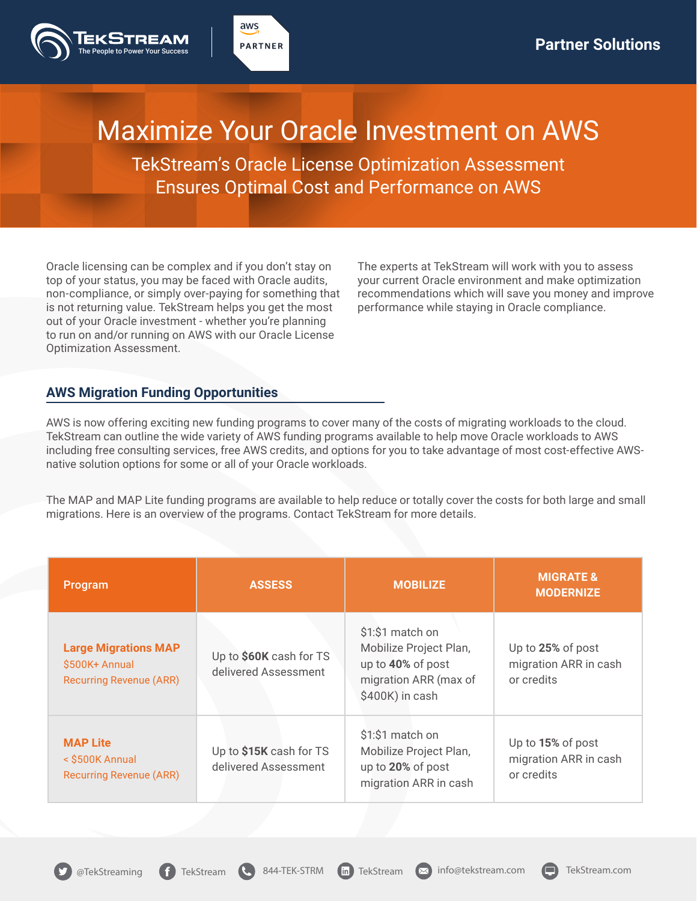

# Maximize Your Oracle Investment on AWS

TekStream's Oracle License Optimization Assessment Ensures Optimal Cost and Performance on AWS

Oracle licensing can be complex and if you don't stay on top of your status, you may be faced with Oracle audits, non-compliance, or simply over-paying for something that is not returning value. TekStream helps you get the most out of your Oracle investment - whether you're planning to run on and/or running on AWS with our Oracle License Optimization Assessment.

aws **PARTNER** 

> The experts at TekStream will work with you to assess your current Oracle environment and make optimization recommendations which will save you money and improve performance while staying in Oracle compliance.

#### **AWS Migration Funding Opportunities**

AWS is now offering exciting new funding programs to cover many of the costs of migrating workloads to the cloud. TekStream can outline the wide variety of AWS funding programs available to help move Oracle workloads to AWS including free consulting services, free AWS credits, and options for you to take advantage of most cost-effective AWSnative solution options for some or all of your Oracle workloads.

The MAP and MAP Lite funding programs are available to help reduce or totally cover the costs for both large and small migrations. Here is an overview of the programs. Contact TekStream for more details.

| Program                                                                         | <b>ASSESS</b>                                   | <b>MOBILIZE</b>                                                                                             | <b>MIGRATE &amp;</b><br><b>MODERNIZE</b>                 |
|---------------------------------------------------------------------------------|-------------------------------------------------|-------------------------------------------------------------------------------------------------------------|----------------------------------------------------------|
| <b>Large Migrations MAP</b><br>\$500K+ Annual<br><b>Recurring Revenue (ARR)</b> | Up to \$60K cash for TS<br>delivered Assessment | \$1:\$1 match on<br>Mobilize Project Plan,<br>up to 40% of post<br>migration ARR (max of<br>\$400K) in cash | Up to 25% of post<br>migration ARR in cash<br>or credits |
| <b>MAP Lite</b><br>< \$500K Annual<br><b>Recurring Revenue (ARR)</b>            | Up to \$15K cash for TS<br>delivered Assessment | \$1:\$1 match on<br>Mobilize Project Plan,<br>up to 20% of post<br>migration ARR in cash                    | Up to 15% of post<br>migration ARR in cash<br>or credits |